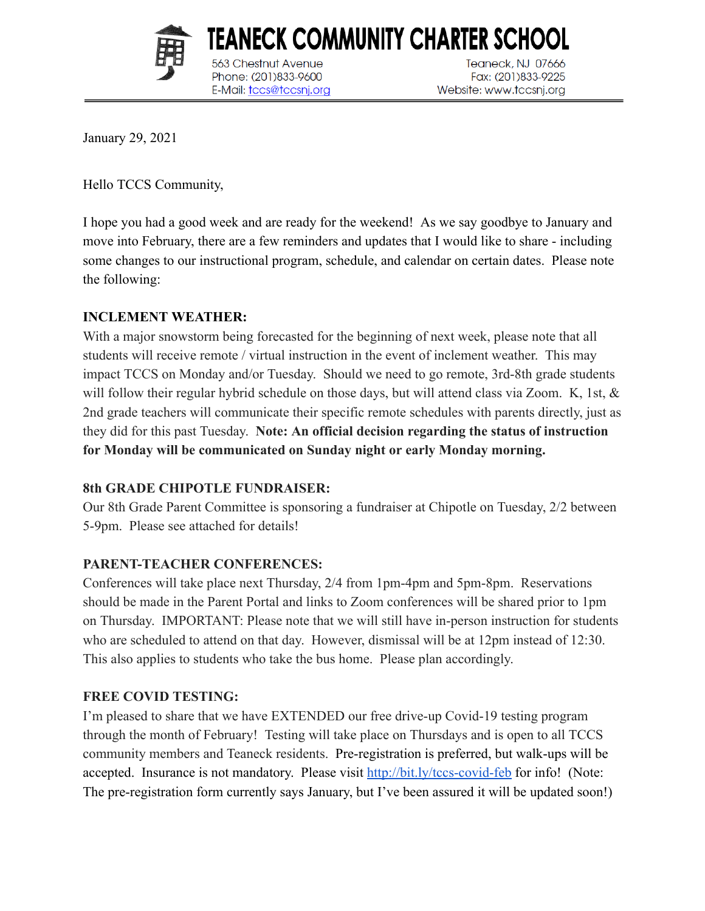

563 Chestnut Avenue

Phone: (201)833-9600

E-Mail: tccs@tccsnj.org

Teaneck, NJ 07666 Fax: (201)833-9225 Website: www.tccsnj.org

January 29, 2021

Hello TCCS Community,

I hope you had a good week and are ready for the weekend! As we say goodbye to January and move into February, there are a few reminders and updates that I would like to share - including some changes to our instructional program, schedule, and calendar on certain dates. Please note the following:

TEANECK COMMUNITY CHARTER SCHOOL

#### **INCLEMENT WEATHER:**

With a major snowstorm being forecasted for the beginning of next week, please note that all students will receive remote / virtual instruction in the event of inclement weather. This may impact TCCS on Monday and/or Tuesday. Should we need to go remote, 3rd-8th grade students will follow their regular hybrid schedule on those days, but will attend class via Zoom. K, 1st,  $\&$ 2nd grade teachers will communicate their specific remote schedules with parents directly, just as they did for this past Tuesday. **Note: An official decision regarding the status of instruction for Monday will be communicated on Sunday night or early Monday morning.** 

#### **8th GRADE CHIPOTLE FUNDRAISER:**

Our 8th Grade Parent Committee is sponsoring a fundraiser at Chipotle on Tuesday, 2/2 between 5-9pm. Please see attached for details!

## **PARENT-TEACHER CONFERENCES:**

Conferences will take place next Thursday, 2/4 from 1pm-4pm and 5pm-8pm. Reservations should be made in the Parent Portal and links to Zoom conferences will be shared prior to 1pm on Thursday. IMPORTANT: Please note that we will still have in-person instruction for students who are scheduled to attend on that day. However, dismissal will be at 12pm instead of 12:30. This also applies to students who take the bus home. Please plan accordingly.

## **FREE COVID TESTING:**

I'm pleased to share that we have EXTENDED our free drive-up Covid-19 testing program through the month of February! Testing will take place on Thursdays and is open to all TCCS community members and Teaneck residents. Pre-registration is preferred, but walk-ups will be accepted. Insurance is not mandatory. Please visit<http://bit.ly/tccs-covid-feb> for info! (Note: The pre-registration form currently says January, but I've been assured it will be updated soon!)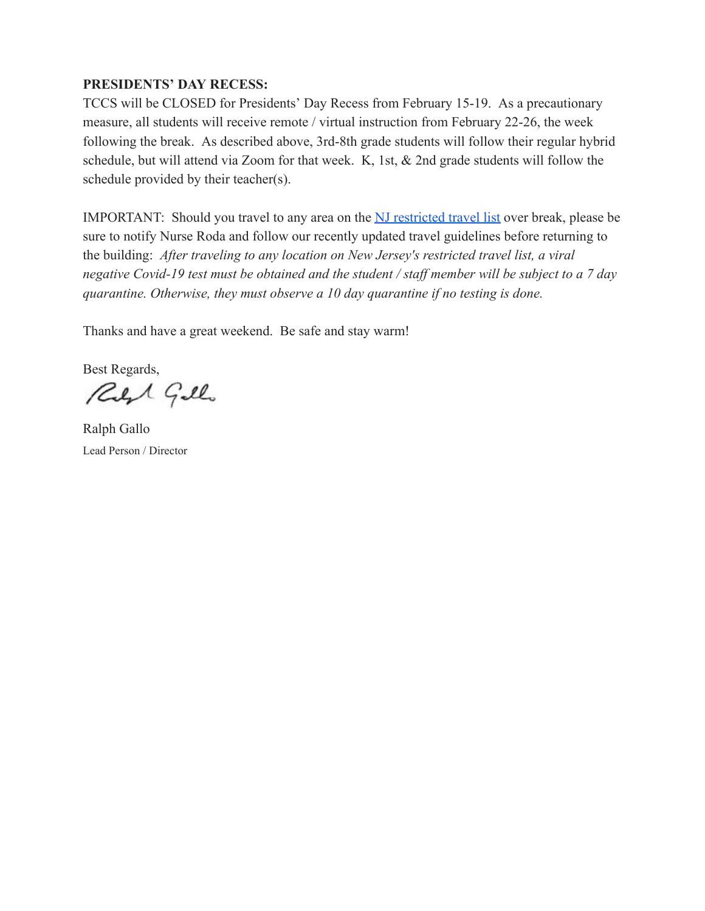#### **PRESIDENTS' DAY RECESS:**

TCCS will be CLOSED for Presidents' Day Recess from February 15-19. As a precautionary measure, all students will receive remote / virtual instruction from February 22-26, the week following the break. As described above, 3rd-8th grade students will follow their regular hybrid schedule, but will attend via Zoom for that week. K, 1st, & 2nd grade students will follow the schedule provided by their teacher(s).

IMPORTANT: Should you travel to any area on the [NJ restricted travel list](https://covid19.nj.gov/faqs/nj-information/travel-and-transportation/are-there-travel-restrictions-to-or-from-new-jersey#direct-link) over break, please be sure to notify Nurse Roda and follow our recently updated travel guidelines before returning to the building: *After traveling to any location on New Jersey's restricted travel list, a viral negative Covid-19 test must be obtained and the student / staff member will be subject to a 7 day quarantine. Otherwise, they must observe a 10 day quarantine if no testing is done.* 

Thanks and have a great weekend. Be safe and stay warm!

Best Regards,

Reft Gillo

Ralph Gallo Lead Person / Director